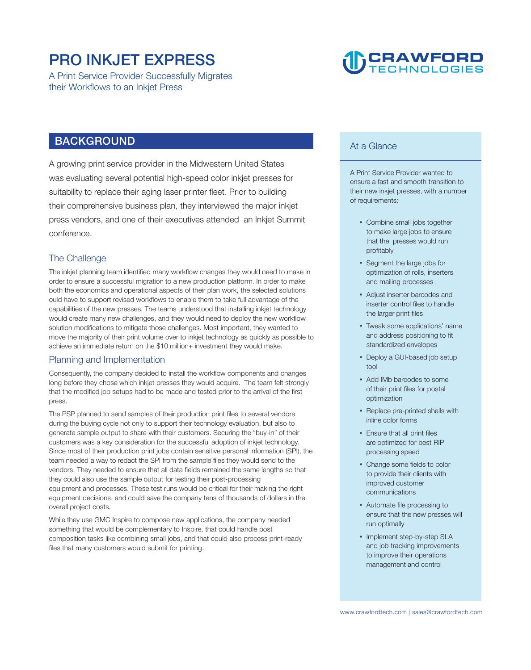### **PRO INKJET EXPRESS**

**A Print Service Provider Successfully Migrates their Workflows to an Inkjet Press** 

## **CRAWFORD**

#### **BACKGROUND**

**A growing print service provider in the Midwestern United States was evaluating several potential high-speed color inkjet presses for suitability to replace their aging laser printer fleet. Prior to building their comprehensive business plan, they interviewed the major inkjet press vendors, and one of their executives attended an Inkjet Summit conference.** 

#### **The Challenge**

**The inkjet planning team identified many workflow changes they would need to make in order to ensure a successful migration to a new production platform. In order to make both the economics and operational aspects of their plan work, the selected solutions ould have to support revised workflows to enable them to take full advantage of the capabilities of the new presses. The teams understood that installing inkjet technology would create many new challenges, and they would need to deploy the new workflow solution modifications to mitigate those challenges. Most important, they wanted to move the majority of their print volume over to inkjet technology as quickly as possible to achieve an immediate return on the \$10 million+ investment they would make.** 

#### **Planning and Implementation**

**Consequently, the company decided to install the workflow components and changes long before they chose which inkjet presses they would acquire. The team felt strongly that the modified job setups had to be made and tested prior to the arrival of the first press.** 

**The PSP planned to send samples of their production print files to several vendors during the buying cycle not only to support their technology evaluation, but also to generate sample output to share with their customers. Securing the "buy-in" of their customers was a key consideration for the successful adoption of inkjet technology. Since most of their production print jobs contain sensitive personal information (SPI), the team needed a way to redact the SPI from the sample files they would send to the vendors. They needed to ensure that all data fields remained the same lengths so that they could also use the sample output for testing their post-processing equipment and processes. These test runs would be critical for their making the right equipment decisions, and could save the company tens of thousands of dollars in the overall project costs.** 

**While they use GMC Inspire to compose new applications, the company needed something that would be complementary to Inspire, that could handle post composition tasks like combining small jobs, and that could also process print-ready files that many customers would submit for printing.** 

#### **At a Glance**

**A Print Service Provider wanted to ensure a fast and smooth transition to their new inkjet presses, with a number of requirements:** 

- **Combine small jobs together to make large jobs to ensure that the presses would run profitably**
- **Segment the large jobs for optimization of rolls, inserters and mailing processes**
- **Adjust inserter barcodes and inserter control files to handle the larger print files**
- **Tweak some applications' name and address positioning to fit standardized envelopes**
- **Deploy a GUI-based job setup tool**
- **Add IMb barcodes to some of their print files for postal optimization**
- **Replace pre-printed shells with inline color forms**
- **Ensure that all print files are optimized for best RIP processing speed**
- **Change some fields to color to provide their clients with improved customer communications**
- **Automate file processing to ensure that the new presses will run optimally**
- **Implement step-by-step SLA and job tracking improvements to improve their operations management and control**

**| <www.crawfordtech.com>[sales@crawfordtech.com](mailto:sales@crawfordtech.com)**